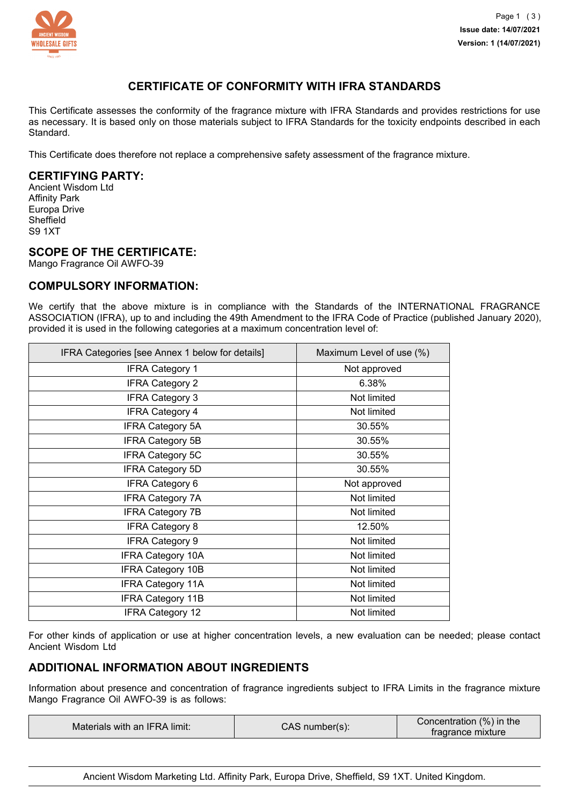

# **CERTIFICATE OF CONFORMITY WITH IFRA STANDARDS**

This Certificate assesses the conformity of the fragrance mixture with IFRA Standards and provides restrictions for use as necessary. It is based only on those materials subject to IFRA Standards for the toxicity endpoints described in each Standard.

This Certificate does therefore not replace a comprehensive safety assessment of the fragrance mixture.

### **CERTIFYING PARTY:**

Ancient Wisdom Ltd Affinity Park Europa Drive **Sheffield** S9 1XT

### **SCOPE OF THE CERTIFICATE:**

Mango Fragrance Oil AWFO-39

### **COMPULSORY INFORMATION:**

We certify that the above mixture is in compliance with the Standards of the INTERNATIONAL FRAGRANCE ASSOCIATION (IFRA), up to and including the 49th Amendment to the IFRA Code of Practice (published January 2020), provided it is used in the following categories at a maximum concentration level of:

| IFRA Categories [see Annex 1 below for details] | Maximum Level of use (%) |
|-------------------------------------------------|--------------------------|
| <b>IFRA Category 1</b>                          | Not approved             |
| <b>IFRA Category 2</b>                          | 6.38%                    |
| <b>IFRA Category 3</b>                          | Not limited              |
| <b>IFRA Category 4</b>                          | Not limited              |
| <b>IFRA Category 5A</b>                         | 30.55%                   |
| <b>IFRA Category 5B</b>                         | 30.55%                   |
| <b>IFRA Category 5C</b>                         | 30.55%                   |
| <b>IFRA Category 5D</b>                         | 30.55%                   |
| <b>IFRA Category 6</b>                          | Not approved             |
| <b>IFRA Category 7A</b>                         | Not limited              |
| <b>IFRA Category 7B</b>                         | Not limited              |
| <b>IFRA Category 8</b>                          | 12.50%                   |
| <b>IFRA Category 9</b>                          | Not limited              |
| <b>IFRA Category 10A</b>                        | Not limited              |
| <b>IFRA Category 10B</b>                        | Not limited              |
| <b>IFRA Category 11A</b>                        | Not limited              |
| IFRA Category 11B                               | Not limited              |
| <b>IFRA Category 12</b>                         | Not limited              |

For other kinds of application or use at higher concentration levels, a new evaluation can be needed; please contact Ancient Wisdom Ltd

# **ADDITIONAL INFORMATION ABOUT INGREDIENTS**

Information about presence and concentration of fragrance ingredients subject to IFRA Limits in the fragrance mixture Mango Fragrance Oil AWFO-39 is as follows:

| Materials with an IFRA limit: | CAS number(s): | Concentration (%) in the<br>tragrance mixture |
|-------------------------------|----------------|-----------------------------------------------|
|-------------------------------|----------------|-----------------------------------------------|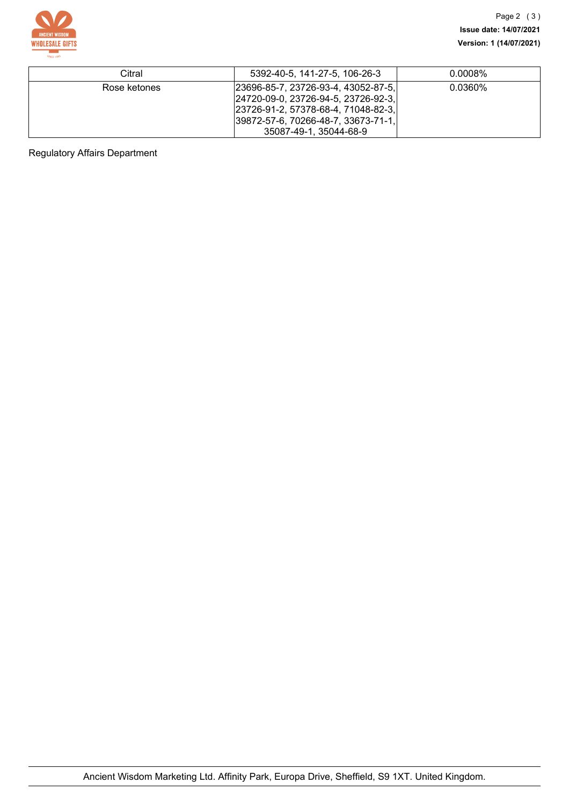

| Citral       | 5392-40-5, 141-27-5, 106-26-3                                                                                                                                                          | $0.0008\%$ |
|--------------|----------------------------------------------------------------------------------------------------------------------------------------------------------------------------------------|------------|
| Rose ketones | 23696-85-7, 23726-93-4, 43052-87-5, <br>24720-09-0, 23726-94-5, 23726-92-3,<br> 23726-91-2, 57378-68-4, 71048-82-3,<br> 39872-57-6, 70266-48-7, 33673-71-1, <br>35087-49-1, 35044-68-9 | $0.0360\%$ |

Regulatory Affairs Department